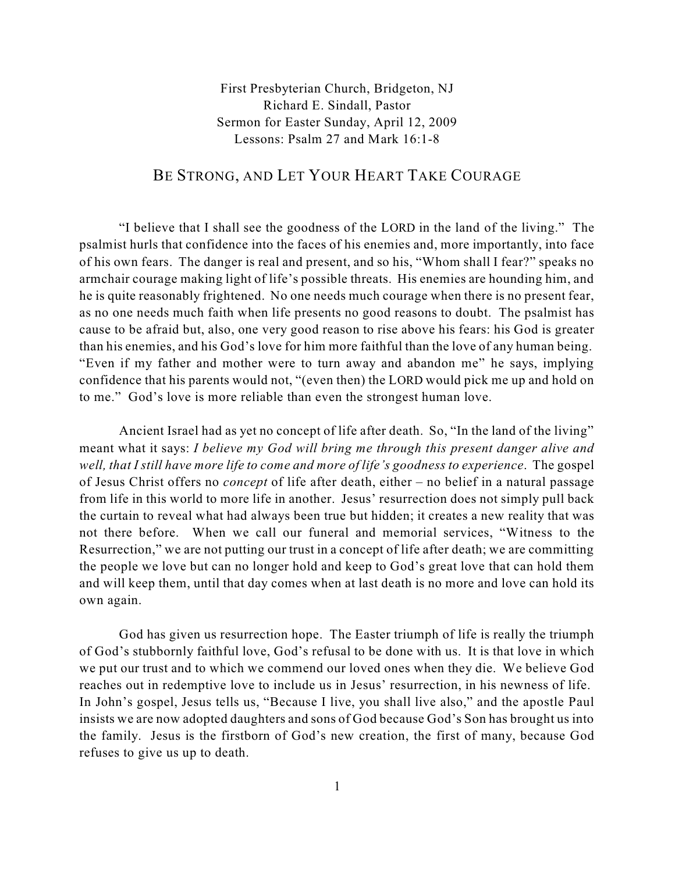First Presbyterian Church, Bridgeton, NJ Richard E. Sindall, Pastor Sermon for Easter Sunday, April 12, 2009 Lessons: Psalm 27 and Mark 16:1-8

## BE STRONG, AND LET YOUR HEART TAKE COURAGE

"I believe that I shall see the goodness of the LORD in the land of the living." The psalmist hurls that confidence into the faces of his enemies and, more importantly, into face of his own fears. The danger is real and present, and so his, "Whom shall I fear?" speaks no armchair courage making light of life's possible threats. His enemies are hounding him, and he is quite reasonably frightened. No one needs much courage when there is no present fear, as no one needs much faith when life presents no good reasons to doubt. The psalmist has cause to be afraid but, also, one very good reason to rise above his fears: his God is greater than his enemies, and his God's love for him more faithful than the love of any human being. "Even if my father and mother were to turn away and abandon me" he says, implying confidence that his parents would not, "(even then) the LORD would pick me up and hold on to me." God's love is more reliable than even the strongest human love.

Ancient Israel had as yet no concept of life after death. So, "In the land of the living" meant what it says: *I believe my God will bring me through this present danger alive and well, that I still have more life to come and more of life's goodness to experience*. The gospel of Jesus Christ offers no *concept* of life after death, either – no belief in a natural passage from life in this world to more life in another. Jesus' resurrection does not simply pull back the curtain to reveal what had always been true but hidden; it creates a new reality that was not there before. When we call our funeral and memorial services, "Witness to the Resurrection," we are not putting our trust in a concept of life after death; we are committing the people we love but can no longer hold and keep to God's great love that can hold them and will keep them, until that day comes when at last death is no more and love can hold its own again.

God has given us resurrection hope. The Easter triumph of life is really the triumph of God's stubbornly faithful love, God's refusal to be done with us. It is that love in which we put our trust and to which we commend our loved ones when they die. We believe God reaches out in redemptive love to include us in Jesus' resurrection, in his newness of life. In John's gospel, Jesus tells us, "Because I live, you shall live also," and the apostle Paul insists we are now adopted daughters and sons of God because God's Son has brought us into the family. Jesus is the firstborn of God's new creation, the first of many, because God refuses to give us up to death.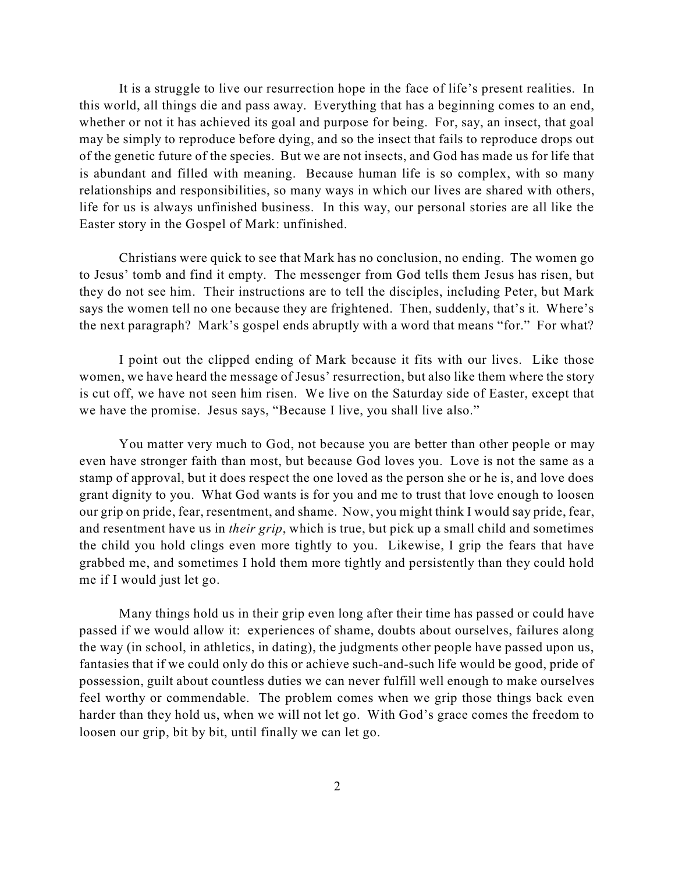It is a struggle to live our resurrection hope in the face of life's present realities. In this world, all things die and pass away. Everything that has a beginning comes to an end, whether or not it has achieved its goal and purpose for being. For, say, an insect, that goal may be simply to reproduce before dying, and so the insect that fails to reproduce drops out of the genetic future of the species. But we are not insects, and God has made us for life that is abundant and filled with meaning. Because human life is so complex, with so many relationships and responsibilities, so many ways in which our lives are shared with others, life for us is always unfinished business. In this way, our personal stories are all like the Easter story in the Gospel of Mark: unfinished.

Christians were quick to see that Mark has no conclusion, no ending. The women go to Jesus' tomb and find it empty. The messenger from God tells them Jesus has risen, but they do not see him. Their instructions are to tell the disciples, including Peter, but Mark says the women tell no one because they are frightened. Then, suddenly, that's it. Where's the next paragraph? Mark's gospel ends abruptly with a word that means "for." For what?

I point out the clipped ending of Mark because it fits with our lives. Like those women, we have heard the message of Jesus' resurrection, but also like them where the story is cut off, we have not seen him risen. We live on the Saturday side of Easter, except that we have the promise. Jesus says, "Because I live, you shall live also."

You matter very much to God, not because you are better than other people or may even have stronger faith than most, but because God loves you. Love is not the same as a stamp of approval, but it does respect the one loved as the person she or he is, and love does grant dignity to you. What God wants is for you and me to trust that love enough to loosen our grip on pride, fear, resentment, and shame. Now, you might think I would say pride, fear, and resentment have us in *their grip*, which is true, but pick up a small child and sometimes the child you hold clings even more tightly to you. Likewise, I grip the fears that have grabbed me, and sometimes I hold them more tightly and persistently than they could hold me if I would just let go.

Many things hold us in their grip even long after their time has passed or could have passed if we would allow it: experiences of shame, doubts about ourselves, failures along the way (in school, in athletics, in dating), the judgments other people have passed upon us, fantasies that if we could only do this or achieve such-and-such life would be good, pride of possession, guilt about countless duties we can never fulfill well enough to make ourselves feel worthy or commendable. The problem comes when we grip those things back even harder than they hold us, when we will not let go. With God's grace comes the freedom to loosen our grip, bit by bit, until finally we can let go.